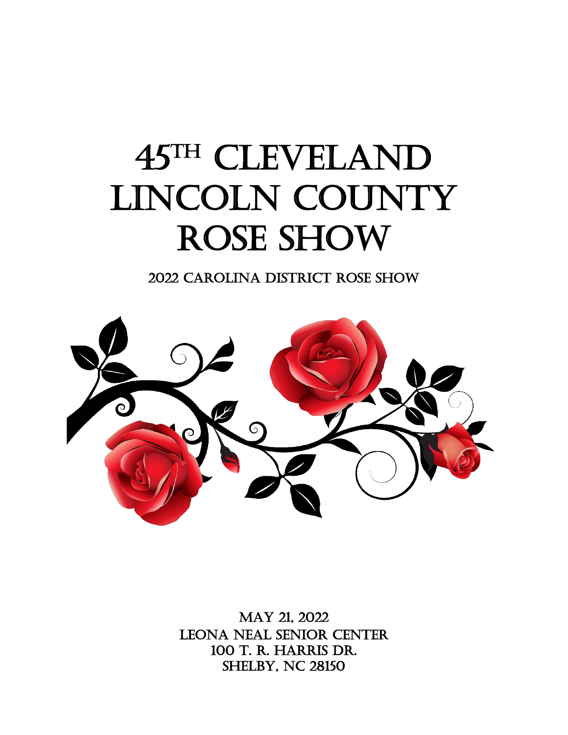# 45TH CLEVELAND LINCOLN COUNTY ROSE SHOW

2022 Carolina District Rose Show



MAY 21, 2022 LEONA NEAL SENIOR CENTER 100 T. R. Harris Dr. **SHELBY, NC 28150**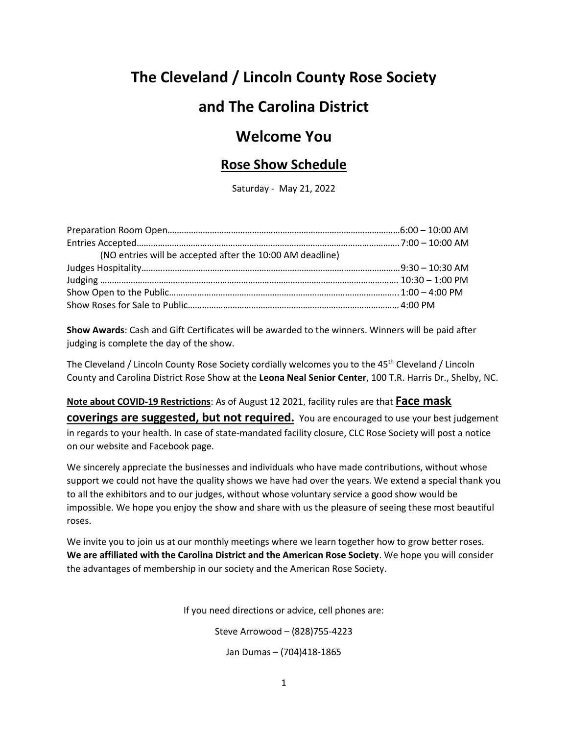# **The Cleveland / Lincoln County Rose Society**

# **and The Carolina District**

# **Welcome You**

### **Rose Show Schedule**

Saturday - May 21, 2022

| (NO entries will be accepted after the 10:00 AM deadline) |  |
|-----------------------------------------------------------|--|
|                                                           |  |
|                                                           |  |
|                                                           |  |
|                                                           |  |

**Show Awards**: Cash and Gift Certificates will be awarded to the winners. Winners will be paid after judging is complete the day of the show.

The Cleveland / Lincoln County Rose Society cordially welcomes you to the 45th Cleveland / Lincoln County and Carolina District Rose Show at the **Leona Neal Senior Center**, 100 T.R. Harris Dr., Shelby, NC.

**Note about COVID-19 Restrictions**: As of August 12 2021, facility rules are that **Face mask** 

**coverings are suggested, but not required.** You are encouraged to use your best judgement in regards to your health. In case of state-mandated facility closure, CLC Rose Society will post a notice on our website and Facebook page.

We sincerely appreciate the businesses and individuals who have made contributions, without whose support we could not have the quality shows we have had over the years. We extend a special thank you to all the exhibitors and to our judges, without whose voluntary service a good show would be impossible. We hope you enjoy the show and share with us the pleasure of seeing these most beautiful roses.

We invite you to join us at our monthly meetings where we learn together how to grow better roses. **We are affiliated with the Carolina District and the American Rose Society**. We hope you will consider the advantages of membership in our society and the American Rose Society.

If you need directions or advice, cell phones are:

Steve Arrowood – (828)755-4223

Jan Dumas – (704)418-1865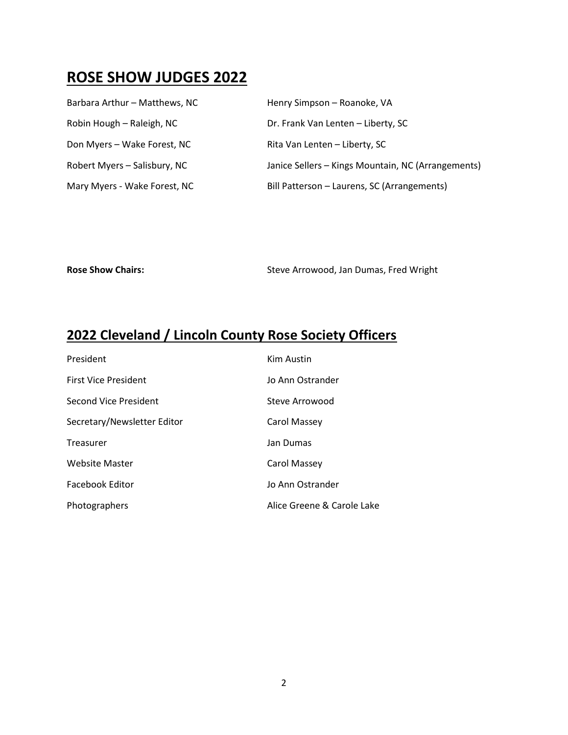# **ROSE SHOW JUDGES 2022**

| Barbara Arthur - Matthews, NC | Henry Simpson - Roanoke, VA                        |
|-------------------------------|----------------------------------------------------|
| Robin Hough - Raleigh, NC     | Dr. Frank Van Lenten - Liberty, SC                 |
| Don Myers - Wake Forest, NC   | Rita Van Lenten - Liberty, SC                      |
| Robert Myers - Salisbury, NC  | Janice Sellers - Kings Mountain, NC (Arrangements) |
| Mary Myers - Wake Forest, NC  | Bill Patterson - Laurens, SC (Arrangements)        |

Rose Show Chairs: **Rose Show Chairs:** Steve Arrowood, Jan Dumas, Fred Wright

# **2022 Cleveland / Lincoln County Rose Society Officers**

| President                   | Kim Austin                 |
|-----------------------------|----------------------------|
| <b>First Vice President</b> | Jo Ann Ostrander           |
| Second Vice President       | Steve Arrowood             |
| Secretary/Newsletter Editor | Carol Massey               |
| Treasurer                   | Jan Dumas                  |
| Website Master              | Carol Massey               |
| Facebook Editor             | Jo Ann Ostrander           |
| Photographers               | Alice Greene & Carole Lake |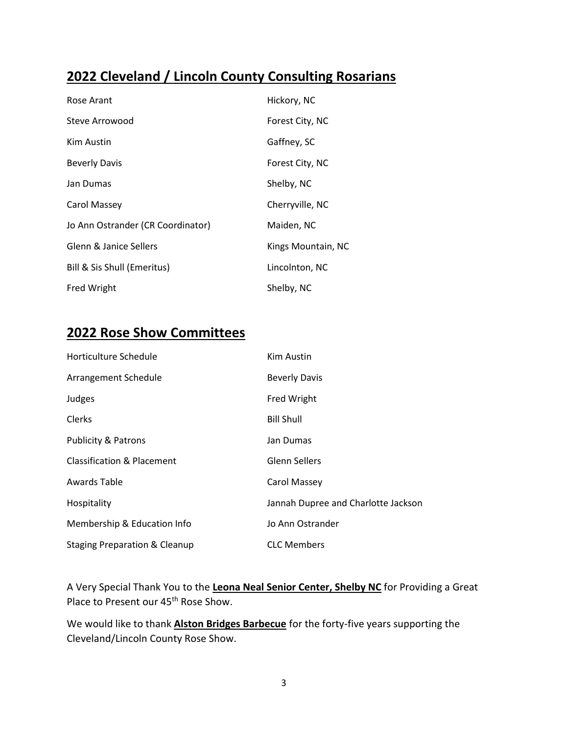# **2022 Cleveland / Lincoln County Consulting Rosarians**

| Rose Arant                        | Hickory, NC        |
|-----------------------------------|--------------------|
| Steve Arrowood                    | Forest City, NC    |
| Kim Austin                        | Gaffney, SC        |
| <b>Beverly Davis</b>              | Forest City, NC    |
| Jan Dumas                         | Shelby, NC         |
| Carol Massey                      | Cherryville, NC    |
| Jo Ann Ostrander (CR Coordinator) | Maiden, NC         |
| Glenn & Janice Sellers            | Kings Mountain, NC |
| Bill & Sis Shull (Emeritus)       | Lincolnton, NC     |
| <b>Fred Wright</b>                | Shelby, NC         |

# **2022 Rose Show Committees**

| Horticulture Schedule                    | Kim Austin                          |
|------------------------------------------|-------------------------------------|
| Arrangement Schedule                     | <b>Beverly Davis</b>                |
| Judges                                   | Fred Wright                         |
| <b>Clerks</b>                            | <b>Bill Shull</b>                   |
| <b>Publicity &amp; Patrons</b>           | Jan Dumas                           |
| <b>Classification &amp; Placement</b>    | <b>Glenn Sellers</b>                |
| Awards Table                             | Carol Massey                        |
| Hospitality                              | Jannah Dupree and Charlotte Jackson |
| Membership & Education Info              | Jo Ann Ostrander                    |
| <b>Staging Preparation &amp; Cleanup</b> | <b>CLC Members</b>                  |

A Very Special Thank You to the **Leona Neal Senior Center, Shelby NC** for Providing a Great Place to Present our 45<sup>th</sup> Rose Show.

We would like to thank **Alston Bridges Barbecue** for the forty-five years supporting the Cleveland/Lincoln County Rose Show.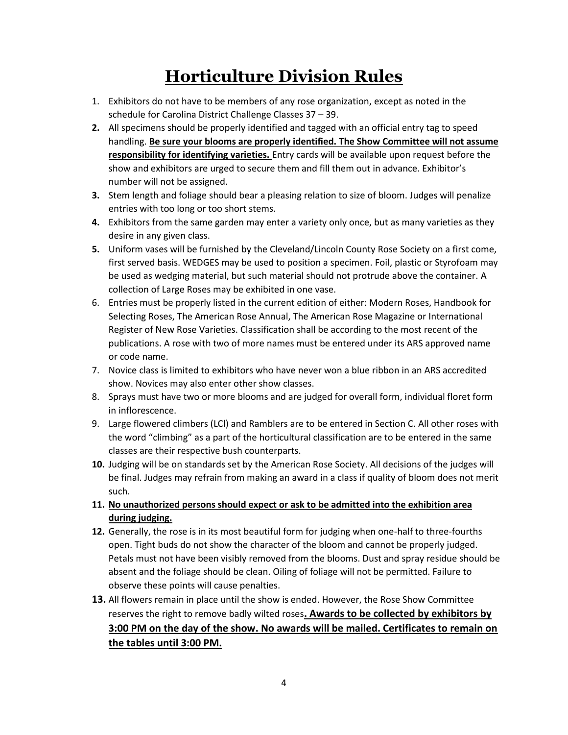# **Horticulture Division Rules**

- 1. Exhibitors do not have to be members of any rose organization, except as noted in the schedule for Carolina District Challenge Classes 37 – 39.
- **2.** All specimens should be properly identified and tagged with an official entry tag to speed handling. **Be sure your blooms are properly identified. The Show Committee will not assume responsibility for identifying varieties.** Entry cards will be available upon request before the show and exhibitors are urged to secure them and fill them out in advance. Exhibitor's number will not be assigned.
- **3.** Stem length and foliage should bear a pleasing relation to size of bloom. Judges will penalize entries with too long or too short stems.
- **4.** Exhibitors from the same garden may enter a variety only once, but as many varieties as they desire in any given class.
- **5.** Uniform vases will be furnished by the Cleveland/Lincoln County Rose Society on a first come, first served basis. WEDGES may be used to position a specimen. Foil, plastic or Styrofoam may be used as wedging material, but such material should not protrude above the container. A collection of Large Roses may be exhibited in one vase.
- 6. Entries must be properly listed in the current edition of either: Modern Roses, Handbook for Selecting Roses, The American Rose Annual, The American Rose Magazine or International Register of New Rose Varieties. Classification shall be according to the most recent of the publications. A rose with two of more names must be entered under its ARS approved name or code name.
- 7. Novice class is limited to exhibitors who have never won a blue ribbon in an ARS accredited show. Novices may also enter other show classes.
- 8. Sprays must have two or more blooms and are judged for overall form, individual floret form in inflorescence.
- 9. Large flowered climbers (LCl) and Ramblers are to be entered in Section C. All other roses with the word "climbing" as a part of the horticultural classification are to be entered in the same classes are their respective bush counterparts.
- **10.** Judging will be on standards set by the American Rose Society. All decisions of the judges will be final. Judges may refrain from making an award in a class if quality of bloom does not merit such.
- **11. No unauthorized persons should expect or ask to be admitted into the exhibition area during judging.**
- **12.** Generally, the rose is in its most beautiful form for judging when one-half to three-fourths open. Tight buds do not show the character of the bloom and cannot be properly judged. Petals must not have been visibly removed from the blooms. Dust and spray residue should be absent and the foliage should be clean. Oiling of foliage will not be permitted. Failure to observe these points will cause penalties.
- **13.** All flowers remain in place until the show is ended. However, the Rose Show Committee reserves the right to remove badly wilted roses**. Awards to be collected by exhibitors by 3:00 PM on the day of the show. No awards will be mailed. Certificates to remain on the tables until 3:00 PM.**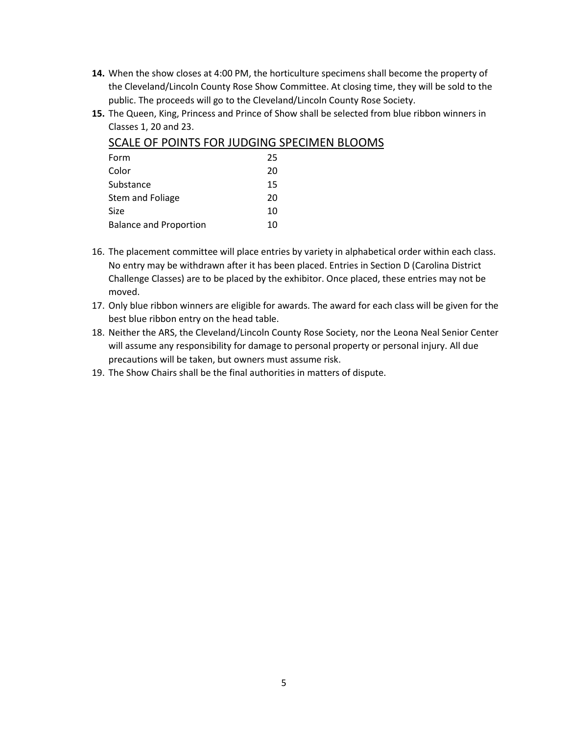- **14.** When the show closes at 4:00 PM, the horticulture specimens shall become the property of the Cleveland/Lincoln County Rose Show Committee. At closing time, they will be sold to the public. The proceeds will go to the Cleveland/Lincoln County Rose Society.
- **15.** The Queen, King, Princess and Prince of Show shall be selected from blue ribbon winners in Classes 1, 20 and 23.

| Form                          | 25 |
|-------------------------------|----|
| Color                         | 20 |
| Substance                     | 15 |
| Stem and Foliage              | 20 |
| Size                          | 10 |
| <b>Balance and Proportion</b> | 10 |
|                               |    |

#### SCALE OF POINTS FOR JUDGING SPECIMEN BLOOMS

- 16. The placement committee will place entries by variety in alphabetical order within each class. No entry may be withdrawn after it has been placed. Entries in Section D (Carolina District Challenge Classes) are to be placed by the exhibitor. Once placed, these entries may not be moved.
- 17. Only blue ribbon winners are eligible for awards. The award for each class will be given for the best blue ribbon entry on the head table.
- 18. Neither the ARS, the Cleveland/Lincoln County Rose Society, nor the Leona Neal Senior Center will assume any responsibility for damage to personal property or personal injury. All due precautions will be taken, but owners must assume risk.
- 19. The Show Chairs shall be the final authorities in matters of dispute.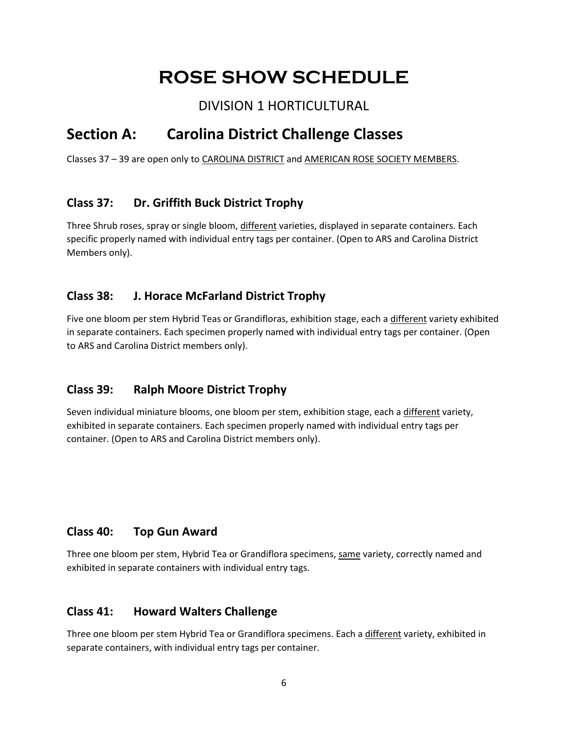# **ROSE SHOW SCHEDULE**

DIVISION 1 HORTICULTURAL

# **Section A: Carolina District Challenge Classes**

Classes 37 – 39 are open only to CAROLINA DISTRICT and AMERICAN ROSE SOCIETY MEMBERS.

### **Class 37: Dr. Griffith Buck District Trophy**

Three Shrub roses, spray or single bloom, different varieties, displayed in separate containers. Each specific properly named with individual entry tags per container. (Open to ARS and Carolina District Members only).

### **Class 38: J. Horace McFarland District Trophy**

Five one bloom per stem Hybrid Teas or Grandifloras, exhibition stage, each a different variety exhibited in separate containers. Each specimen properly named with individual entry tags per container. (Open to ARS and Carolina District members only).

### **Class 39: Ralph Moore District Trophy**

Seven individual miniature blooms, one bloom per stem, exhibition stage, each a different variety, exhibited in separate containers. Each specimen properly named with individual entry tags per container. (Open to ARS and Carolina District members only).

### **Class 40: Top Gun Award**

Three one bloom per stem, Hybrid Tea or Grandiflora specimens, same variety, correctly named and exhibited in separate containers with individual entry tags.

### **Class 41: Howard Walters Challenge**

Three one bloom per stem Hybrid Tea or Grandiflora specimens. Each a different variety, exhibited in separate containers, with individual entry tags per container.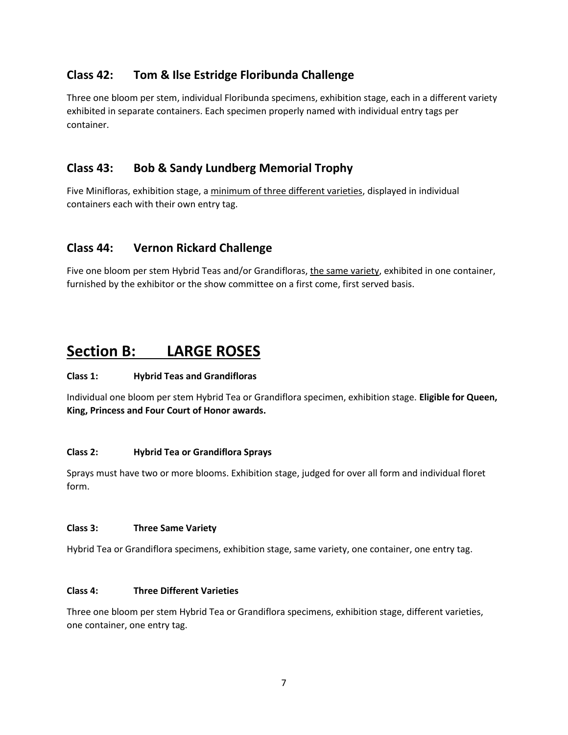#### **Class 42: Tom & Ilse Estridge Floribunda Challenge**

Three one bloom per stem, individual Floribunda specimens, exhibition stage, each in a different variety exhibited in separate containers. Each specimen properly named with individual entry tags per container.

#### **Class 43: Bob & Sandy Lundberg Memorial Trophy**

Five Minifloras, exhibition stage, a minimum of three different varieties, displayed in individual containers each with their own entry tag.

#### **Class 44: Vernon Rickard Challenge**

Five one bloom per stem Hybrid Teas and/or Grandifloras, the same variety, exhibited in one container, furnished by the exhibitor or the show committee on a first come, first served basis.

# **Section B: LARGE ROSES**

#### **Class 1: Hybrid Teas and Grandifloras**

Individual one bloom per stem Hybrid Tea or Grandiflora specimen, exhibition stage. **Eligible for Queen, King, Princess and Four Court of Honor awards.**

#### **Class 2: Hybrid Tea or Grandiflora Sprays**

Sprays must have two or more blooms. Exhibition stage, judged for over all form and individual floret form.

#### **Class 3: Three Same Variety**

Hybrid Tea or Grandiflora specimens, exhibition stage, same variety, one container, one entry tag.

#### **Class 4: Three Different Varieties**

Three one bloom per stem Hybrid Tea or Grandiflora specimens, exhibition stage, different varieties, one container, one entry tag.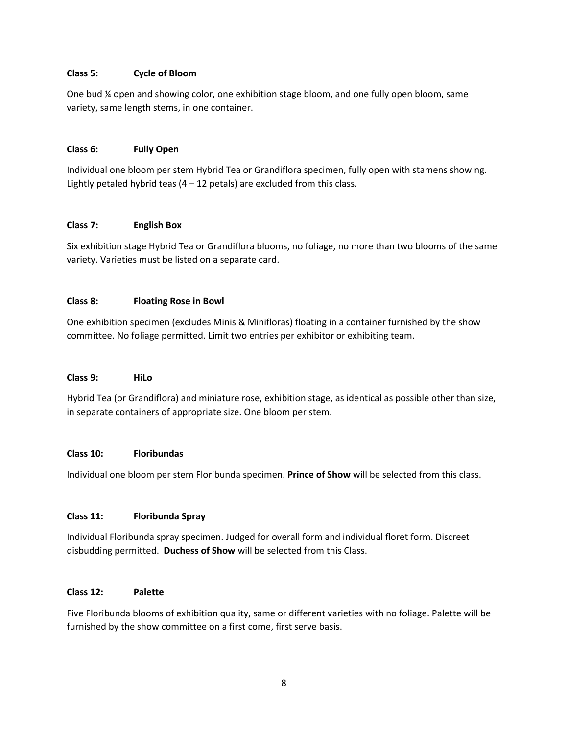#### **Class 5: Cycle of Bloom**

One bud ¼ open and showing color, one exhibition stage bloom, and one fully open bloom, same variety, same length stems, in one container.

#### **Class 6: Fully Open**

Individual one bloom per stem Hybrid Tea or Grandiflora specimen, fully open with stamens showing. Lightly petaled hybrid teas  $(4 - 12$  petals) are excluded from this class.

#### **Class 7: English Box**

Six exhibition stage Hybrid Tea or Grandiflora blooms, no foliage, no more than two blooms of the same variety. Varieties must be listed on a separate card.

#### **Class 8: Floating Rose in Bowl**

One exhibition specimen (excludes Minis & Minifloras) floating in a container furnished by the show committee. No foliage permitted. Limit two entries per exhibitor or exhibiting team.

#### **Class 9: HiLo**

Hybrid Tea (or Grandiflora) and miniature rose, exhibition stage, as identical as possible other than size, in separate containers of appropriate size. One bloom per stem.

#### **Class 10: Floribundas**

Individual one bloom per stem Floribunda specimen. **Prince of Show** will be selected from this class.

#### **Class 11: Floribunda Spray**

Individual Floribunda spray specimen. Judged for overall form and individual floret form. Discreet disbudding permitted. **Duchess of Show** will be selected from this Class.

#### **Class 12: Palette**

Five Floribunda blooms of exhibition quality, same or different varieties with no foliage. Palette will be furnished by the show committee on a first come, first serve basis.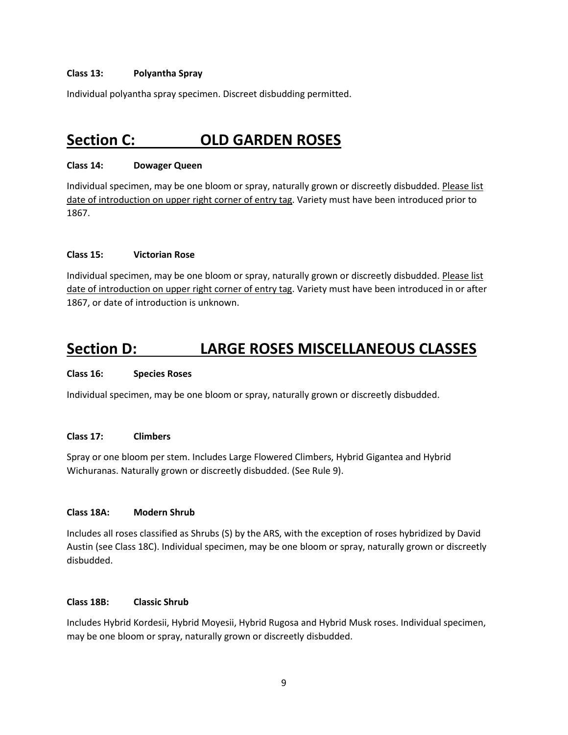#### **Class 13: Polyantha Spray**

Individual polyantha spray specimen. Discreet disbudding permitted.

# **Section C: OLD GARDEN ROSES**

#### **Class 14: Dowager Queen**

Individual specimen, may be one bloom or spray, naturally grown or discreetly disbudded. Please list date of introduction on upper right corner of entry tag. Variety must have been introduced prior to 1867.

#### **Class 15: Victorian Rose**

Individual specimen, may be one bloom or spray, naturally grown or discreetly disbudded. Please list date of introduction on upper right corner of entry tag. Variety must have been introduced in or after 1867, or date of introduction is unknown.

## **Section D: LARGE ROSES MISCELLANEOUS CLASSES**

#### **Class 16: Species Roses**

Individual specimen, may be one bloom or spray, naturally grown or discreetly disbudded.

#### **Class 17: Climbers**

Spray or one bloom per stem. Includes Large Flowered Climbers, Hybrid Gigantea and Hybrid Wichuranas. Naturally grown or discreetly disbudded. (See Rule 9).

#### **Class 18A: Modern Shrub**

Includes all roses classified as Shrubs (S) by the ARS, with the exception of roses hybridized by David Austin (see Class 18C). Individual specimen, may be one bloom or spray, naturally grown or discreetly disbudded.

#### **Class 18B: Classic Shrub**

Includes Hybrid Kordesii, Hybrid Moyesii, Hybrid Rugosa and Hybrid Musk roses. Individual specimen, may be one bloom or spray, naturally grown or discreetly disbudded.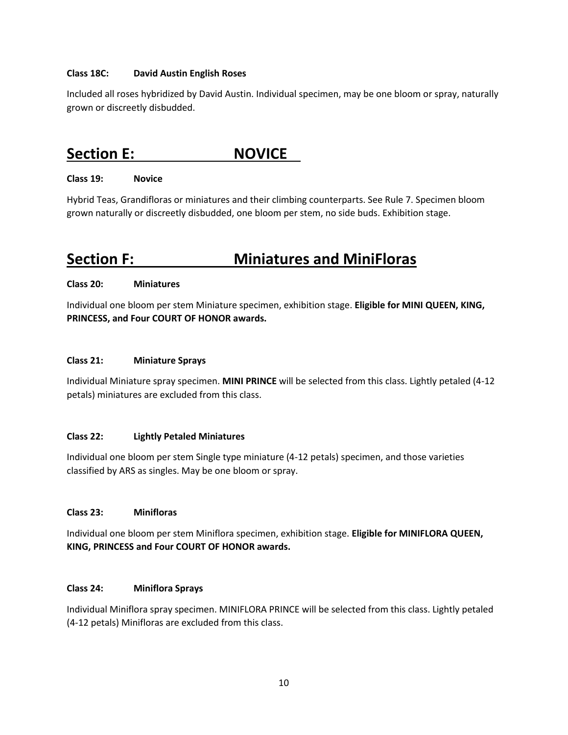#### **Class 18C: David Austin English Roses**

Included all roses hybridized by David Austin. Individual specimen, may be one bloom or spray, naturally grown or discreetly disbudded.

# **Section E: NOVICE**

#### **Class 19: Novice**

Hybrid Teas, Grandifloras or miniatures and their climbing counterparts. See Rule 7. Specimen bloom grown naturally or discreetly disbudded, one bloom per stem, no side buds. Exhibition stage.

# **Section F: Miniatures and MiniFloras**

#### **Class 20: Miniatures**

Individual one bloom per stem Miniature specimen, exhibition stage. **Eligible for MINI QUEEN, KING, PRINCESS, and Four COURT OF HONOR awards.**

#### **Class 21: Miniature Sprays**

Individual Miniature spray specimen. **MINI PRINCE** will be selected from this class. Lightly petaled (4-12 petals) miniatures are excluded from this class.

#### **Class 22: Lightly Petaled Miniatures**

Individual one bloom per stem Single type miniature (4-12 petals) specimen, and those varieties classified by ARS as singles. May be one bloom or spray.

#### **Class 23: Minifloras**

Individual one bloom per stem Miniflora specimen, exhibition stage. **Eligible for MINIFLORA QUEEN, KING, PRINCESS and Four COURT OF HONOR awards.**

#### **Class 24: Miniflora Sprays**

Individual Miniflora spray specimen. MINIFLORA PRINCE will be selected from this class. Lightly petaled (4-12 petals) Minifloras are excluded from this class.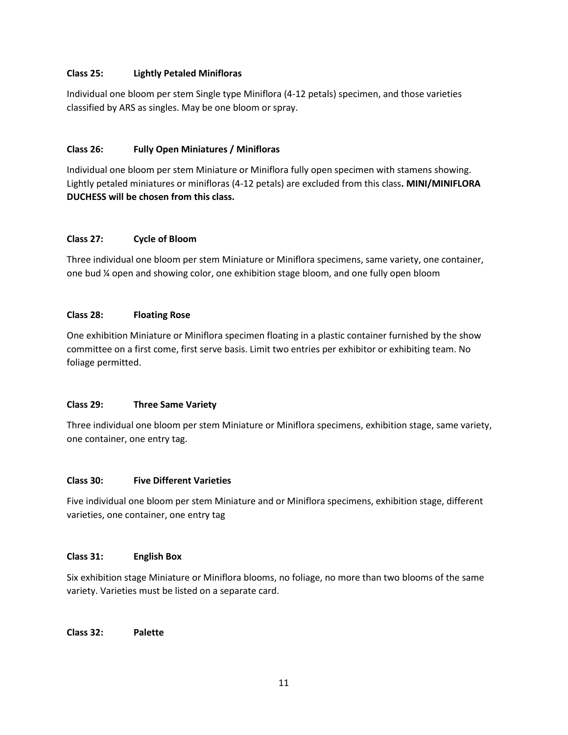#### **Class 25: Lightly Petaled Minifloras**

Individual one bloom per stem Single type Miniflora (4-12 petals) specimen, and those varieties classified by ARS as singles. May be one bloom or spray.

#### **Class 26: Fully Open Miniatures / Minifloras**

Individual one bloom per stem Miniature or Miniflora fully open specimen with stamens showing. Lightly petaled miniatures or minifloras (4-12 petals) are excluded from this class**. MINI/MINIFLORA DUCHESS will be chosen from this class.**

#### **Class 27: Cycle of Bloom**

Three individual one bloom per stem Miniature or Miniflora specimens, same variety, one container, one bud ¼ open and showing color, one exhibition stage bloom, and one fully open bloom

#### **Class 28: Floating Rose**

One exhibition Miniature or Miniflora specimen floating in a plastic container furnished by the show committee on a first come, first serve basis. Limit two entries per exhibitor or exhibiting team. No foliage permitted.

#### **Class 29: Three Same Variety**

Three individual one bloom per stem Miniature or Miniflora specimens, exhibition stage, same variety, one container, one entry tag.

#### **Class 30: Five Different Varieties**

Five individual one bloom per stem Miniature and or Miniflora specimens, exhibition stage, different varieties, one container, one entry tag

#### **Class 31: English Box**

Six exhibition stage Miniature or Miniflora blooms, no foliage, no more than two blooms of the same variety. Varieties must be listed on a separate card.

#### **Class 32: Palette**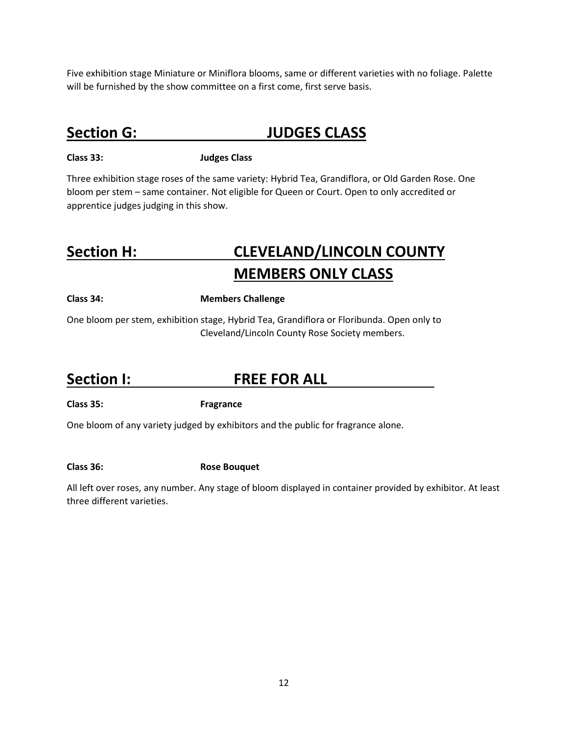Five exhibition stage Miniature or Miniflora blooms, same or different varieties with no foliage. Palette will be furnished by the show committee on a first come, first serve basis.

# **Section G: JUDGES CLASS**

#### **Class 33: Judges Class**

Three exhibition stage roses of the same variety: Hybrid Tea, Grandiflora, or Old Garden Rose. One bloom per stem – same container. Not eligible for Queen or Court. Open to only accredited or apprentice judges judging in this show.

# **Section H: CLEVELAND/LINCOLN COUNTY MEMBERS ONLY CLASS**

#### **Class 34: Members Challenge**

One bloom per stem, exhibition stage, Hybrid Tea, Grandiflora or Floribunda. Open only to Cleveland/Lincoln County Rose Society members.

## **Section I: FREE FOR ALL**

**Class 35: Fragrance**

One bloom of any variety judged by exhibitors and the public for fragrance alone.

**Class 36: Rose Bouquet**

All left over roses, any number. Any stage of bloom displayed in container provided by exhibitor. At least three different varieties.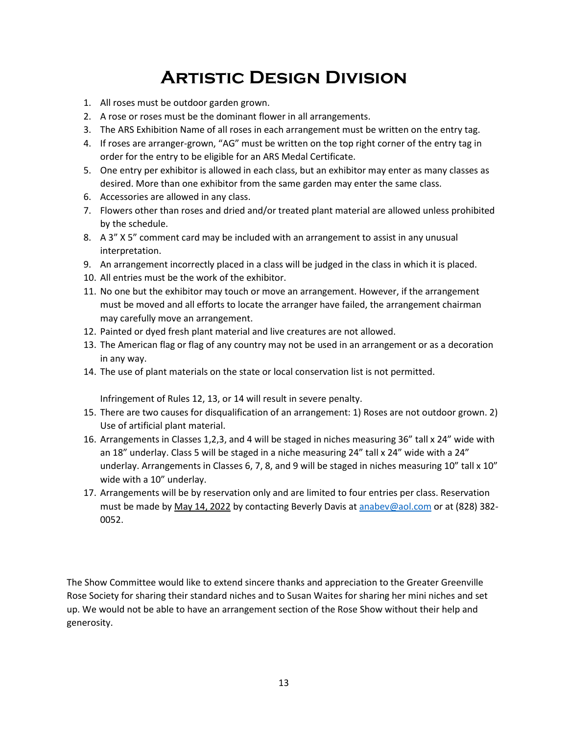# **Artistic Design Division**

- 1. All roses must be outdoor garden grown.
- 2. A rose or roses must be the dominant flower in all arrangements.
- 3. The ARS Exhibition Name of all roses in each arrangement must be written on the entry tag.
- 4. If roses are arranger-grown, "AG" must be written on the top right corner of the entry tag in order for the entry to be eligible for an ARS Medal Certificate.
- 5. One entry per exhibitor is allowed in each class, but an exhibitor may enter as many classes as desired. More than one exhibitor from the same garden may enter the same class.
- 6. Accessories are allowed in any class.
- 7. Flowers other than roses and dried and/or treated plant material are allowed unless prohibited by the schedule.
- 8. A 3" X 5" comment card may be included with an arrangement to assist in any unusual interpretation.
- 9. An arrangement incorrectly placed in a class will be judged in the class in which it is placed.
- 10. All entries must be the work of the exhibitor.
- 11. No one but the exhibitor may touch or move an arrangement. However, if the arrangement must be moved and all efforts to locate the arranger have failed, the arrangement chairman may carefully move an arrangement.
- 12. Painted or dyed fresh plant material and live creatures are not allowed.
- 13. The American flag or flag of any country may not be used in an arrangement or as a decoration in any way.
- 14. The use of plant materials on the state or local conservation list is not permitted.

Infringement of Rules 12, 13, or 14 will result in severe penalty.

- 15. There are two causes for disqualification of an arrangement: 1) Roses are not outdoor grown. 2) Use of artificial plant material.
- 16. Arrangements in Classes 1,2,3, and 4 will be staged in niches measuring 36" tall x 24" wide with an 18" underlay. Class 5 will be staged in a niche measuring 24" tall x 24" wide with a 24" underlay. Arrangements in Classes 6, 7, 8, and 9 will be staged in niches measuring 10" tall x 10" wide with a 10" underlay.
- 17. Arrangements will be by reservation only and are limited to four entries per class. Reservation must be made by May 14, 2022 by contacting Beverly Davis at [anabev@aol.com](mailto:anabev@aol.com) or at (828) 382- 0052.

The Show Committee would like to extend sincere thanks and appreciation to the Greater Greenville Rose Society for sharing their standard niches and to Susan Waites for sharing her mini niches and set up. We would not be able to have an arrangement section of the Rose Show without their help and generosity.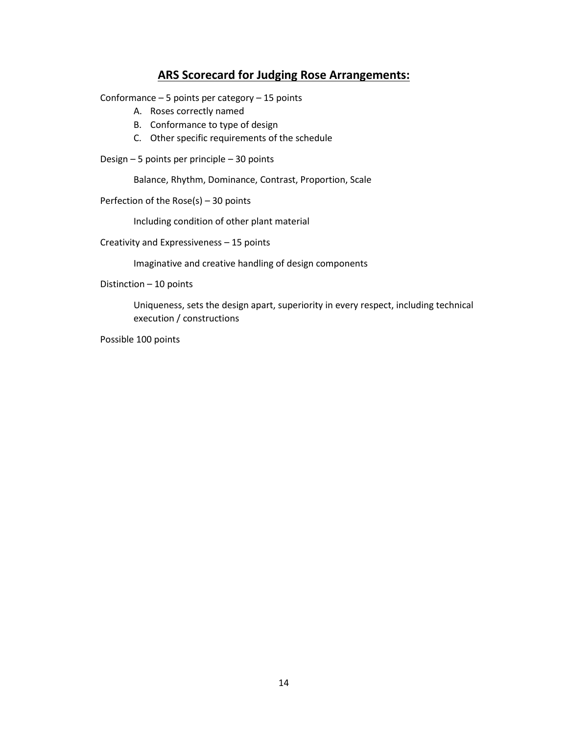#### **ARS Scorecard for Judging Rose Arrangements:**

Conformance – 5 points per category – 15 points

- A. Roses correctly named
- B. Conformance to type of design
- C. Other specific requirements of the schedule
- Design 5 points per principle 30 points

Balance, Rhythm, Dominance, Contrast, Proportion, Scale

Perfection of the Rose(s) – 30 points

Including condition of other plant material

Creativity and Expressiveness – 15 points

Imaginative and creative handling of design components

Distinction – 10 points

Uniqueness, sets the design apart, superiority in every respect, including technical execution / constructions

Possible 100 points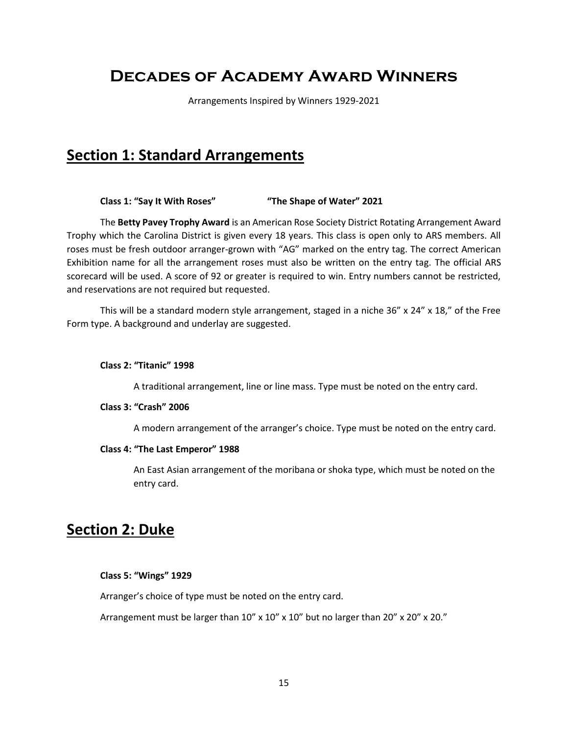# **Decades of Academy Award Winners**

Arrangements Inspired by Winners 1929-2021

### **Section 1: Standard Arrangements**

#### **Class 1: "Say It With Roses" "The Shape of Water" 2021**

The **Betty Pavey Trophy Award** is an American Rose Society District Rotating Arrangement Award Trophy which the Carolina District is given every 18 years. This class is open only to ARS members. All roses must be fresh outdoor arranger-grown with "AG" marked on the entry tag. The correct American Exhibition name for all the arrangement roses must also be written on the entry tag. The official ARS scorecard will be used. A score of 92 or greater is required to win. Entry numbers cannot be restricted, and reservations are not required but requested.

This will be a standard modern style arrangement, staged in a niche 36" x 24" x 18," of the Free Form type. A background and underlay are suggested.

#### **Class 2: "Titanic" 1998**

A traditional arrangement, line or line mass. Type must be noted on the entry card.

#### **Class 3: "Crash" 2006**

A modern arrangement of the arranger's choice. Type must be noted on the entry card.

#### **Class 4: "The Last Emperor" 1988**

An East Asian arrangement of the moribana or shoka type, which must be noted on the entry card.

## **Section 2: Duke**

#### **Class 5: "Wings" 1929**

Arranger's choice of type must be noted on the entry card.

Arrangement must be larger than 10" x 10" x 10" but no larger than 20" x 20" x 20."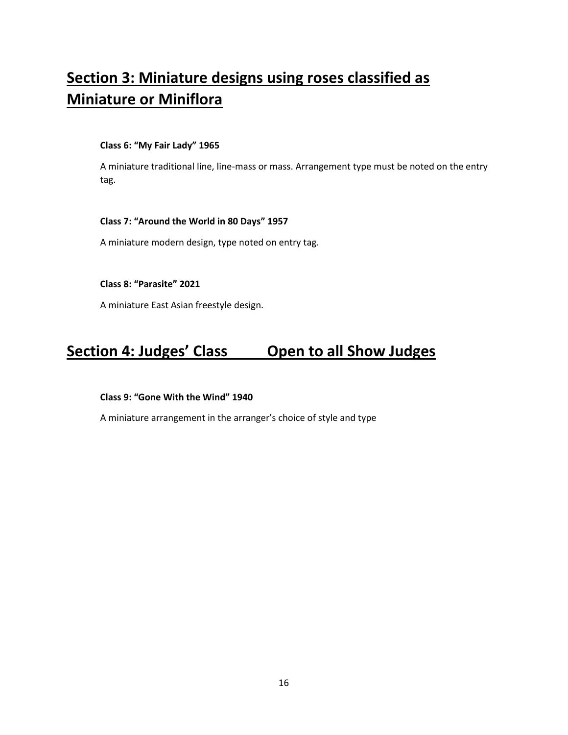# **Section 3: Miniature designs using roses classified as Miniature or Miniflora**

#### **Class 6: "My Fair Lady" 1965**

A miniature traditional line, line-mass or mass. Arrangement type must be noted on the entry tag.

#### **Class 7: "Around the World in 80 Days" 1957**

A miniature modern design, type noted on entry tag.

#### **Class 8: "Parasite" 2021**

A miniature East Asian freestyle design.

# **Section 4: Judges' Class Open to all Show Judges**

#### **Class 9: "Gone With the Wind" 1940**

A miniature arrangement in the arranger's choice of style and type